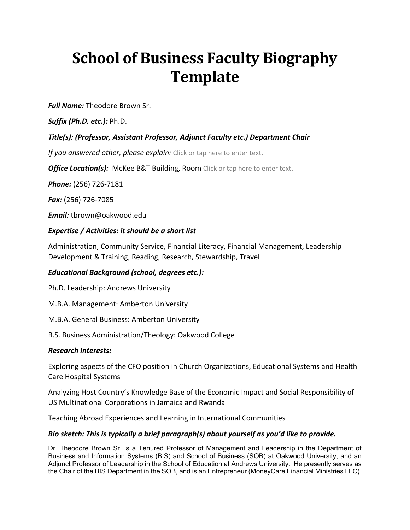# **School of Business Faculty Biography Template**

*Full Name:* Theodore Brown Sr.

*Suffix (Ph.D. etc.):* Ph.D.

## *Title(s): (Professor, Assistant Professor, Adjunct Faculty etc.) Department Chair*

*If you answered other, please explain:* Click or tap here to enter text.

*Office Location(s):* McKee B&T Building, Room Click or tap here to enter text.

*Phone:* (256) 726-7181

*Fax:* (256) 726-7085

*Email:* tbrown@oakwood.edu

### *Expertise / Activities: it should be a short list*

Administration, Community Service, Financial Literacy, Financial Management, Leadership Development & Training, Reading, Research, Stewardship, Travel

### *Educational Background (school, degrees etc.):*

Ph.D. Leadership: Andrews University

M.B.A. Management: Amberton University

M.B.A. General Business: Amberton University

B.S. Business Administration/Theology: Oakwood College

#### *Research Interests:*

Exploring aspects of the CFO position in Church Organizations, Educational Systems and Health Care Hospital Systems

Analyzing Host Country's Knowledge Base of the Economic Impact and Social Responsibility of US Multinational Corporations in Jamaica and Rwanda

Teaching Abroad Experiences and Learning in International Communities

### *Bio sketch: This is typically a brief paragraph(s) about yourself as you'd like to provide.*

Dr. Theodore Brown Sr. is a Tenured Professor of Management and Leadership in the Department of Business and Information Systems (BIS) and School of Business (SOB) at Oakwood University; and an Adjunct Professor of Leadership in the School of Education at Andrews University. He presently serves as the Chair of the BIS Department in the SOB, and is an Entrepreneur (MoneyCare Financial Ministries LLC).